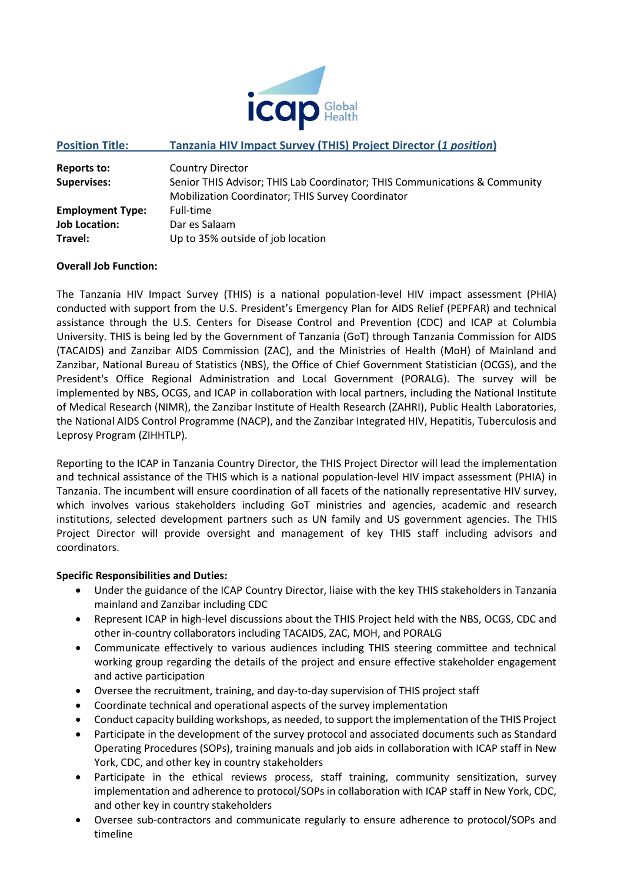

### **Position Title: Tanzania HIV Impact Survey (THIS) Project Director (***1 position***)**

| Reports to:             | <b>Country Director</b>                                                    |
|-------------------------|----------------------------------------------------------------------------|
| <b>Supervises:</b>      | Senior THIS Advisor; THIS Lab Coordinator; THIS Communications & Community |
|                         | Mobilization Coordinator; THIS Survey Coordinator                          |
| <b>Employment Type:</b> | Full-time                                                                  |
| <b>Job Location:</b>    | Dar es Salaam                                                              |
| Travel:                 | Up to 35% outside of job location                                          |

#### **Overall Job Function:**

The Tanzania HIV Impact Survey (THIS) is a national population-level HIV impact assessment (PHIA) conducted with support from the U.S. President's Emergency Plan for AIDS Relief (PEPFAR) and technical assistance through the U.S. Centers for Disease Control and Prevention (CDC) and ICAP at Columbia University. THIS is being led by the Government of Tanzania (GoT) through Tanzania Commission for AIDS (TACAIDS) and Zanzibar AIDS Commission (ZAC), and the Ministries of Health (MoH) of Mainland and Zanzibar, National Bureau of Statistics (NBS), the Office of Chief Government Statistician (OCGS), and the President's Office Regional Administration and Local Government (PORALG). The survey will be implemented by NBS, OCGS, and ICAP in collaboration with local partners, including the National Institute of Medical Research (NIMR), the Zanzibar Institute of Health Research (ZAHRI), Public Health Laboratories, the National AIDS Control Programme (NACP), and the Zanzibar Integrated HIV, Hepatitis, Tuberculosis and Leprosy Program (ZIHHTLP).

Reporting to the ICAP in Tanzania Country Director, the THIS Project Director will lead the implementation and technical assistance of the THIS which is a national population-level HIV impact assessment (PHIA) in Tanzania. The incumbent will ensure coordination of all facets of the nationally representative HIV survey, which involves various stakeholders including GoT ministries and agencies, academic and research institutions, selected development partners such as UN family and US government agencies. The THIS Project Director will provide oversight and management of key THIS staff including advisors and coordinators.

#### **Specific Responsibilities and Duties:**

- Under the guidance of the ICAP Country Director, liaise with the key THIS stakeholders in Tanzania mainland and Zanzibar including CDC
- Represent ICAP in high-level discussions about the THIS Project held with the NBS, OCGS, CDC and other in-country collaborators including TACAIDS, ZAC, MOH, and PORALG
- Communicate effectively to various audiences including THIS steering committee and technical working group regarding the details of the project and ensure effective stakeholder engagement and active participation
- Oversee the recruitment, training, and day-to-day supervision of THIS project staff
- Coordinate technical and operational aspects of the survey implementation
- Conduct capacity building workshops, as needed, to support the implementation of the THIS Project
- Participate in the development of the survey protocol and associated documents such as Standard Operating Procedures (SOPs), training manuals and job aids in collaboration with ICAP staff in New York, CDC, and other key in country stakeholders
- Participate in the ethical reviews process, staff training, community sensitization, survey implementation and adherence to protocol/SOPs in collaboration with ICAP staff in New York, CDC, and other key in country stakeholders
- Oversee sub-contractors and communicate regularly to ensure adherence to protocol/SOPs and timeline